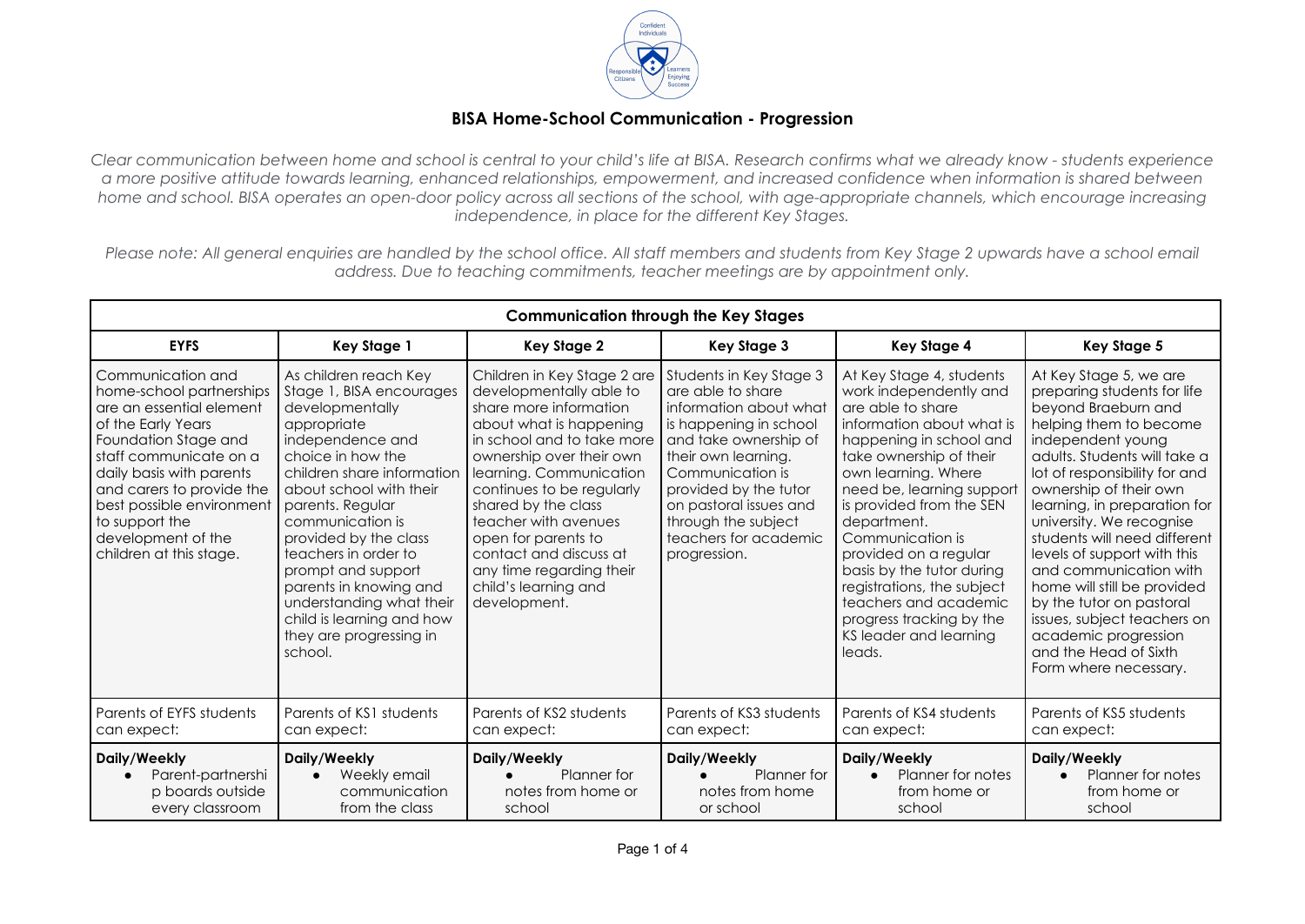

## **BISA Home-School Communication - Progression**

Clear communication between home and school is central to your child's life at BISA, Research confirms what we already know - students experience a more positive attitude towards learning, enhanced relationships, empowerment, and increased confidence when information is shared between home and school. BISA operates an open-door policy across all sections of the school, with age-appropriate channels, which encourage increasing *independence, in place for the different Key Stages.*

Please note: All general enaujries are handled by the school office. All staff members and students from Key Stage 2 upwards have a school email *address. Due to teaching commitments, teacher meetings are by appointment only.*

| <b>Communication through the Key Stages</b>                                                                                                                                                                                                                                                                |                                                                                                                                                                                                                                                                                                                                                                                                                               |                                                                                                                                                                                                                                                                                                                                                                                                   |                                                                                                                                                                                                                                                                                         |                                                                                                                                                                                                                                                                                                                                                                                                                                                            |                                                                                                                                                                                                                                                                                                                                                                                                                                                                                                                                                 |
|------------------------------------------------------------------------------------------------------------------------------------------------------------------------------------------------------------------------------------------------------------------------------------------------------------|-------------------------------------------------------------------------------------------------------------------------------------------------------------------------------------------------------------------------------------------------------------------------------------------------------------------------------------------------------------------------------------------------------------------------------|---------------------------------------------------------------------------------------------------------------------------------------------------------------------------------------------------------------------------------------------------------------------------------------------------------------------------------------------------------------------------------------------------|-----------------------------------------------------------------------------------------------------------------------------------------------------------------------------------------------------------------------------------------------------------------------------------------|------------------------------------------------------------------------------------------------------------------------------------------------------------------------------------------------------------------------------------------------------------------------------------------------------------------------------------------------------------------------------------------------------------------------------------------------------------|-------------------------------------------------------------------------------------------------------------------------------------------------------------------------------------------------------------------------------------------------------------------------------------------------------------------------------------------------------------------------------------------------------------------------------------------------------------------------------------------------------------------------------------------------|
| <b>EYFS</b>                                                                                                                                                                                                                                                                                                | <b>Key Stage 1</b>                                                                                                                                                                                                                                                                                                                                                                                                            | <b>Key Stage 2</b>                                                                                                                                                                                                                                                                                                                                                                                | Key Stage 3                                                                                                                                                                                                                                                                             | <b>Key Stage 4</b>                                                                                                                                                                                                                                                                                                                                                                                                                                         | <b>Key Stage 5</b>                                                                                                                                                                                                                                                                                                                                                                                                                                                                                                                              |
| Communication and<br>home-school partnerships<br>are an essential element<br>of the Early Years<br>Foundation Stage and<br>staff communicate on a<br>daily basis with parents<br>and carers to provide the<br>best possible environment<br>to support the<br>development of the<br>children at this stage. | As children reach Key<br>Stage 1, BISA encourages<br>developmentally<br>appropriate<br>independence and<br>choice in how the<br>children share information<br>about school with their<br>parents. Regular<br>communication is<br>provided by the class<br>teachers in order to<br>prompt and support<br>parents in knowing and<br>understanding what their<br>child is learning and how<br>they are progressing in<br>school. | Children in Key Stage 2 are<br>developmentally able to<br>share more information<br>about what is happening<br>in school and to take more<br>ownership over their own<br>learning. Communication<br>continues to be regularly<br>shared by the class<br>teacher with avenues<br>open for parents to<br>contact and discuss at<br>any time regarding their<br>child's learning and<br>development. | Students in Key Stage 3<br>are able to share<br>information about what<br>is happening in school<br>and take ownership of<br>their own learning.<br>Communication is<br>provided by the tutor<br>on pastoral issues and<br>through the subject<br>teachers for academic<br>progression. | At Key Stage 4, students<br>work independently and<br>are able to share<br>information about what is<br>happening in school and<br>take ownership of their<br>own learning. Where<br>need be, learning support<br>is provided from the SEN<br>department.<br>Communication is<br>provided on a regular<br>basis by the tutor during<br>registrations, the subject<br>teachers and academic<br>progress tracking by the<br>KS leader and learning<br>leads. | At Key Stage 5, we are<br>preparing students for life<br>beyond Braeburn and<br>helping them to become<br>independent young<br>adults. Students will take a<br>lot of responsibility for and<br>ownership of their own<br>learning, in preparation for<br>university. We recognise<br>students will need different<br>levels of support with this<br>and communication with<br>home will still be provided<br>by the tutor on pastoral<br>issues, subject teachers on<br>academic progression<br>and the Head of Sixth<br>Form where necessary. |
| Parents of EYFS students<br>can expect:                                                                                                                                                                                                                                                                    | Parents of KS1 students<br>can expect:                                                                                                                                                                                                                                                                                                                                                                                        | Parents of KS2 students<br>can expect:                                                                                                                                                                                                                                                                                                                                                            | Parents of KS3 students<br>can expect:                                                                                                                                                                                                                                                  | Parents of KS4 students<br>can expect:                                                                                                                                                                                                                                                                                                                                                                                                                     | Parents of KS5 students<br>can expect:                                                                                                                                                                                                                                                                                                                                                                                                                                                                                                          |
| Daily/Weekly<br>Parent-partnershi<br>p boards outside<br>every classroom                                                                                                                                                                                                                                   | Daily/Weekly<br>Weekly email<br>communication<br>from the class                                                                                                                                                                                                                                                                                                                                                               | Daily/Weekly<br>Planner for<br>notes from home or<br>school                                                                                                                                                                                                                                                                                                                                       | Daily/Weekly<br>Planner for<br>notes from home<br>or school                                                                                                                                                                                                                             | Daily/Weekly<br>Planner for notes<br>from home or<br>school                                                                                                                                                                                                                                                                                                                                                                                                | Daily/Weekly<br>Planner for notes<br>from home or<br>school                                                                                                                                                                                                                                                                                                                                                                                                                                                                                     |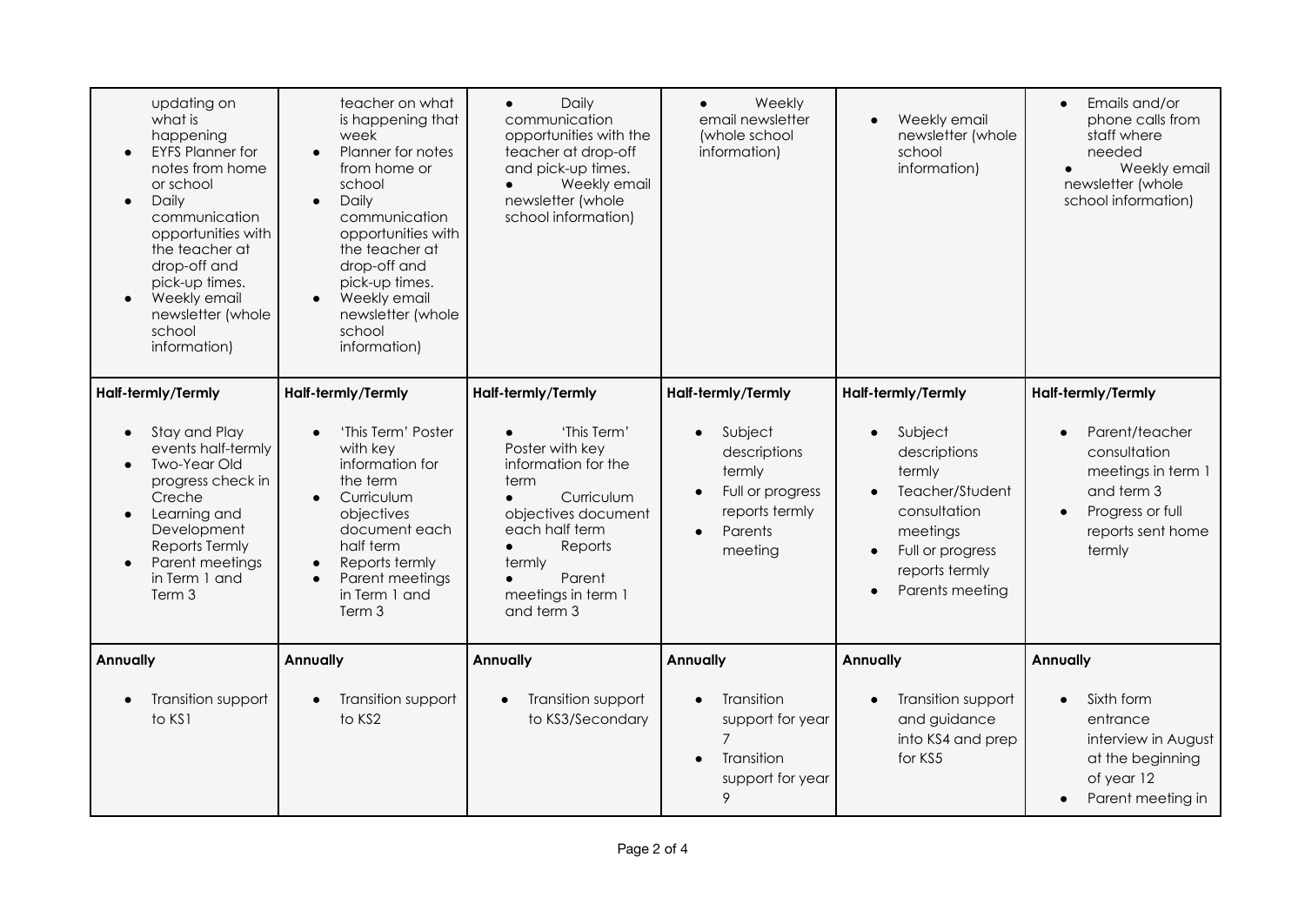| updating on<br>what is<br>happening<br><b>EYFS Planner for</b><br>notes from home<br>or school<br>Daily<br>communication<br>opportunities with<br>the teacher at<br>drop-off and<br>pick-up times.<br>Weekly email<br>newsletter (whole<br>school<br>information)  | teacher on what<br>is happening that<br>week<br>Planner for notes<br>$\bullet$<br>from home or<br>school<br>Daily<br>$\bullet$<br>communication<br>opportunities with<br>the teacher at<br>drop-off and<br>pick-up times.<br>Weekly email<br>newsletter (whole<br>school<br>information) | Daily<br>$\bullet$<br>communication<br>opportunities with the<br>teacher at drop-off<br>and pick-up times.<br>Weekly email<br>newsletter (whole<br>school information)                                                     | Weekly<br>email newsletter<br>(whole school<br>information)                                                                                   | Weekly email<br>newsletter (whole<br>school<br>information)                                                                                                                  | Emails and/or<br>$\bullet$<br>phone calls from<br>staff where<br>needed<br>Weekly email<br>$\bullet$<br>newsletter (whole<br>school information)                      |
|--------------------------------------------------------------------------------------------------------------------------------------------------------------------------------------------------------------------------------------------------------------------|------------------------------------------------------------------------------------------------------------------------------------------------------------------------------------------------------------------------------------------------------------------------------------------|----------------------------------------------------------------------------------------------------------------------------------------------------------------------------------------------------------------------------|-----------------------------------------------------------------------------------------------------------------------------------------------|------------------------------------------------------------------------------------------------------------------------------------------------------------------------------|-----------------------------------------------------------------------------------------------------------------------------------------------------------------------|
| Half-termly/Termly<br>Stay and Play<br>$\bullet$<br>events half-termly<br><b>Two-Year Old</b><br>$\bullet$<br>progress check in<br>Creche<br>Learning and<br>$\bullet$<br>Development<br>Reports Termly<br>Parent meetings<br>$\bullet$<br>in Term 1 and<br>Term 3 | Half-termly/Termly<br>'This Term' Poster<br>$\bullet$<br>with key<br>information for<br>the term<br>Curriculum<br>$\bullet$<br>objectives<br>document each<br>half term<br>Reports termly<br>$\bullet$<br>Parent meetings<br>$\bullet$<br>in Term 1 and<br>Term 3                        | Half-termly/Termly<br>'This Term'<br>Poster with key<br>information for the<br>term<br>Curriculum<br>objectives document<br>each half term<br>Reports<br>termly<br>Parent<br>$\bullet$<br>meetings in term 1<br>and term 3 | Half-termly/Termly<br>Subject<br>$\bullet$<br>descriptions<br>termly<br>Full or progress<br>reports termly<br>Parents<br>$\bullet$<br>meeting | Half-termly/Termly<br>Subject<br>$\bullet$<br>descriptions<br>termly<br>Teacher/Student<br>consultation<br>meetings<br>Full or progress<br>reports termly<br>Parents meeting | Half-termly/Termly<br>Parent/teacher<br>$\bullet$<br>consultation<br>meetings in term 1<br>and term 3<br>Progress or full<br>$\bullet$<br>reports sent home<br>termly |
| <b>Annually</b><br>Transition support<br>$\bullet$<br>to KS1                                                                                                                                                                                                       | <b>Annually</b><br>Transition support<br>$\bullet$<br>to KS2                                                                                                                                                                                                                             | Annually<br>Transition support<br>$\bullet$<br>to KS3/Secondary                                                                                                                                                            | <b>Annually</b><br>Transition<br>support for year<br>$\overline{7}$<br>Transition<br>support for year<br>9                                    | <b>Annually</b><br>Transition support<br>and guidance<br>into KS4 and prep<br>for KS5                                                                                        | <b>Annually</b><br>Sixth form<br>entrance<br>interview in August<br>at the beginning<br>of year 12<br>Parent meeting in                                               |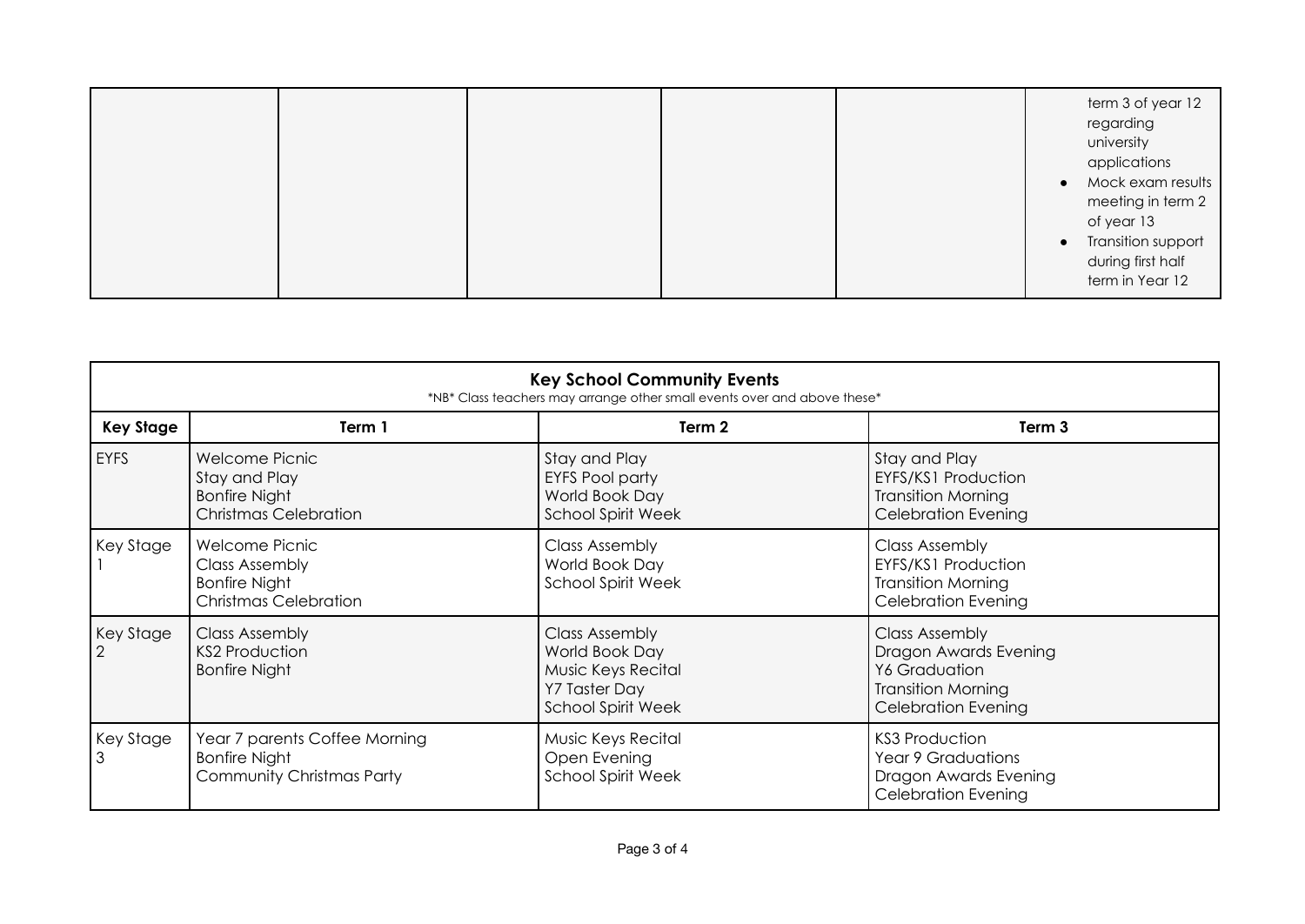|  |  | term 3 of year 12<br>regarding<br>university<br>applications<br>• Mock exam results<br>meeting in term 2<br>of year 13<br>• Transition support<br>during first half<br>term in Year 12 |
|--|--|----------------------------------------------------------------------------------------------------------------------------------------------------------------------------------------|
|  |  |                                                                                                                                                                                        |

| <b>Key School Community Events</b><br>*NB* Class teachers may arrange other small events over and above these* |                                                                                                        |                                                                                                                    |                                                                                                                            |  |
|----------------------------------------------------------------------------------------------------------------|--------------------------------------------------------------------------------------------------------|--------------------------------------------------------------------------------------------------------------------|----------------------------------------------------------------------------------------------------------------------------|--|
| <b>Key Stage</b>                                                                                               | Term 1                                                                                                 | Term 2                                                                                                             | Term 3                                                                                                                     |  |
| <b>EYFS</b>                                                                                                    | Welcome Picnic<br>Stay and Play<br><b>Bonfire Night</b><br><b>Christmas Celebration</b>                | Stay and Play<br><b>EYFS Pool party</b><br>World Book Day<br><b>School Spirit Week</b>                             | Stay and Play<br>EYFS/KS1 Production<br><b>Transition Morning</b><br><b>Celebration Evening</b>                            |  |
| Key Stage                                                                                                      | <b>Welcome Picnic</b><br><b>Class Assembly</b><br><b>Bonfire Night</b><br><b>Christmas Celebration</b> | <b>Class Assembly</b><br>World Book Day<br><b>School Spirit Week</b>                                               | <b>Class Assembly</b><br>EYFS/KS1 Production<br><b>Transition Morning</b><br><b>Celebration Evening</b>                    |  |
| Key Stage                                                                                                      | <b>Class Assembly</b><br><b>KS2 Production</b><br><b>Bonfire Night</b>                                 | <b>Class Assembly</b><br>World Book Day<br><b>Music Keys Recital</b><br>Y7 Taster Day<br><b>School Spirit Week</b> | <b>Class Assembly</b><br>Dragon Awards Evening<br>Y6 Graduation<br><b>Transition Morning</b><br><b>Celebration Evening</b> |  |
| Key Stage                                                                                                      | Year 7 parents Coffee Morning<br><b>Bonfire Night</b><br>Community Christmas Party                     | Music Keys Recital<br>Open Evening<br><b>School Spirit Week</b>                                                    | <b>KS3 Production</b><br><b>Year 9 Graduations</b><br>Dragon Awards Evening<br><b>Celebration Evening</b>                  |  |